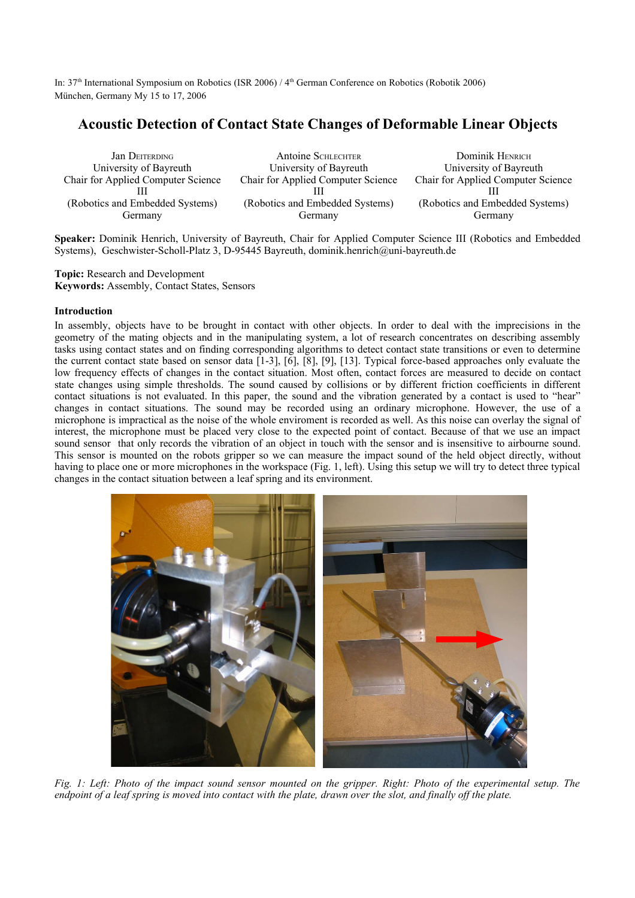In: 37th International Symposium on Robotics (ISR 2006) / 4 th German Conference on Robotics (Robotik 2006) München, Germany My 15 to 17, 2006

# **Acoustic Detection of Contact State Changes of Deformable Linear Objects**

| <b>Jan DEITERDING</b>                     | <b>Antoine SCHLECHTER</b>                 | Dominik HENRICH                    |
|-------------------------------------------|-------------------------------------------|------------------------------------|
| University of Bayreuth                    | University of Bayreuth                    | University of Bayreuth             |
| <b>Chair for Applied Computer Science</b> | <b>Chair for Applied Computer Science</b> | Chair for Applied Computer Science |
| (Robotics and Embedded Systems)           | (Robotics and Embedded Systems)           | (Robotics and Embedded Systems)    |
| Germany                                   | Germany                                   | Germany                            |

**Speaker:** Dominik Henrich, University of Bayreuth, Chair for Applied Computer Science III (Robotics and Embedded Systems), Geschwister-Scholl-Platz 3, D-95445 Bayreuth, dominik.henrich@uni-bayreuth.de

**Topic:** Research and Development **Keywords:** Assembly, Contact States, Sensors

## **Introduction**

In assembly, objects have to be brought in contact with other objects. In order to deal with the imprecisions in the geometry of the mating objects and in the manipulating system, a lot of research concentrates on describing assembly tasks using contact states and on finding corresponding algorithms to detect contact state transitions or even to determine the current contact state based on sensor data [1-3], [6], [8], [9], [13]. Typical force-based approaches only evaluate the low frequency effects of changes in the contact situation. Most often, contact forces are measured to decide on contact state changes using simple thresholds. The sound caused by collisions or by different friction coefficients in different contact situations is not evaluated. In this paper, the sound and the vibration generated by a contact is used to "hear" changes in contact situations. The sound may be recorded using an ordinary microphone. However, the use of a microphone is impractical as the noise of the whole enviroment is recorded as well. As this noise can overlay the signal of interest, the microphone must be placed very close to the expected point of contact. Because of that we use an impact sound sensor that only records the vibration of an object in touch with the sensor and is insensitive to airbourne sound. This sensor is mounted on the robots gripper so we can measure the impact sound of the held object directly, without having to place one or more microphones in the workspace (Fig. 1, left). Using this setup we will try to detect three typical changes in the contact situation between a leaf spring and its environment.



Fig. 1: Left: Photo of the impact sound sensor mounted on the gripper. Right: Photo of the experimental setup. The *endpoint of a leaf spring is moved into contact with the plate, drawn over the slot, and finally off the plate.*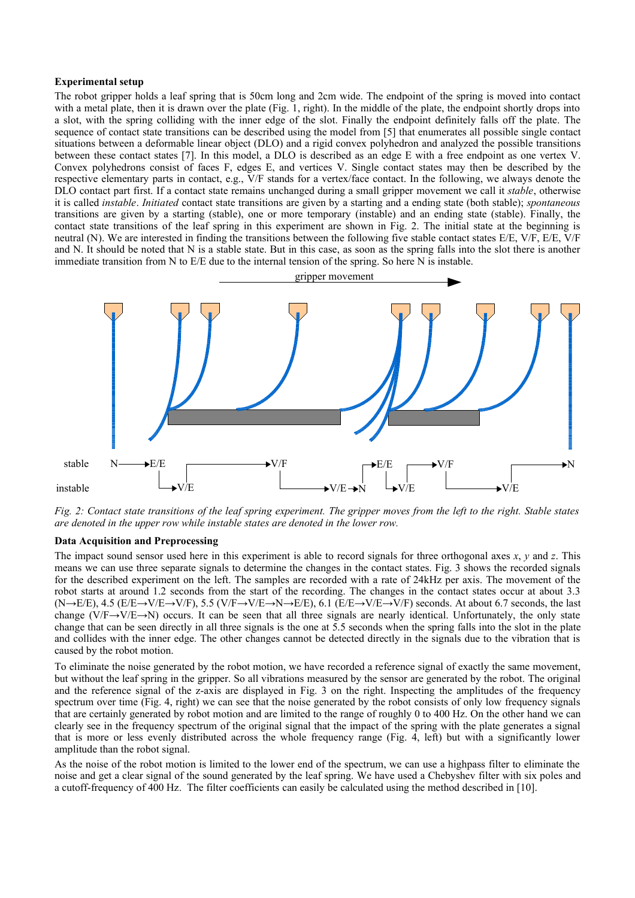### **Experimental setup**

The robot gripper holds a leaf spring that is 50cm long and 2cm wide. The endpoint of the spring is moved into contact with a metal plate, then it is drawn over the plate (Fig. 1, right). In the middle of the plate, the endpoint shortly drops into a slot, with the spring colliding with the inner edge of the slot. Finally the endpoint definitely falls off the plate. The sequence of contact state transitions can be described using the model from [5] that enumerates all possible single contact situations between a deformable linear object (DLO) and a rigid convex polyhedron and analyzed the possible transitions between these contact states [7]. In this model, a DLO is described as an edge E with a free endpoint as one vertex V. Convex polyhedrons consist of faces F, edges E, and vertices V. Single contact states may then be described by the respective elementary parts in contact, e.g., V/F stands for a vertex/face contact. In the following, we always denote the DLO contact part first. If a contact state remains unchanged during a small gripper movement we call it *stable*, otherwise it is called *instable*. *Initiated* contact state transitions are given by a starting and a ending state (both stable); *spontaneous* transitions are given by a starting (stable), one or more temporary (instable) and an ending state (stable). Finally, the contact state transitions of the leaf spring in this experiment are shown in Fig. 2. The initial state at the beginning is neutral (N). We are interested in finding the transitions between the following five stable contact states E/E, V/F, E/E, V/F and N. It should be noted that N is a stable state. But in this case, as soon as the spring falls into the slot there is another immediate transition from N to E/E due to the internal tension of the spring. So here N is instable.



Fig. 2: Contact state transitions of the leaf spring experiment. The gripper moves from the left to the right. Stable states *are denoted in the upper row while instable states are denoted in the lower row.*

## **Data Acquisition and Preprocessing**

The impact sound sensor used here in this experiment is able to record signals for three orthogonal axes *x*, *y* and *z*. This means we can use three separate signals to determine the changes in the contact states. Fig. 3 shows the recorded signals for the described experiment on the left. The samples are recorded with a rate of 24kHz per axis. The movement of the robot starts at around 1.2 seconds from the start of the recording. The changes in the contact states occur at about 3.3  $(N\rightarrow E/E)$ , 4.5 (E/E→V/E→V/F), 5.5 (V/F→V/E→N→E/E), 6.1 (E/E→V/E→V/F) seconds. At about 6.7 seconds, the last change (V/F→V/E→N) occurs. It can be seen that all three signals are nearly identical. Unfortunately, the only state change that can be seen directly in all three signals is the one at 5.5 seconds when the spring falls into the slot in the plate and collides with the inner edge. The other changes cannot be detected directly in the signals due to the vibration that is caused by the robot motion.

To eliminate the noise generated by the robot motion, we have recorded a reference signal of exactly the same movement, but without the leaf spring in the gripper. So all vibrations measured by the sensor are generated by the robot. The original and the reference signal of the z-axis are displayed in Fig. 3 on the right. Inspecting the amplitudes of the frequency spectrum over time (Fig. 4, right) we can see that the noise generated by the robot consists of only low frequency signals that are certainly generated by robot motion and are limited to the range of roughly 0 to 400 Hz. On the other hand we can clearly see in the frequency spectrum of the original signal that the impact of the spring with the plate generates a signal that is more or less evenly distributed across the whole frequency range (Fig. 4, left) but with a significantly lower amplitude than the robot signal.

As the noise of the robot motion is limited to the lower end of the spectrum, we can use a highpass filter to eliminate the noise and get a clear signal of the sound generated by the leaf spring. We have used a Chebyshev filter with six poles and a cutoff-frequency of 400 Hz. The filter coefficients can easily be calculated using the method described in [10].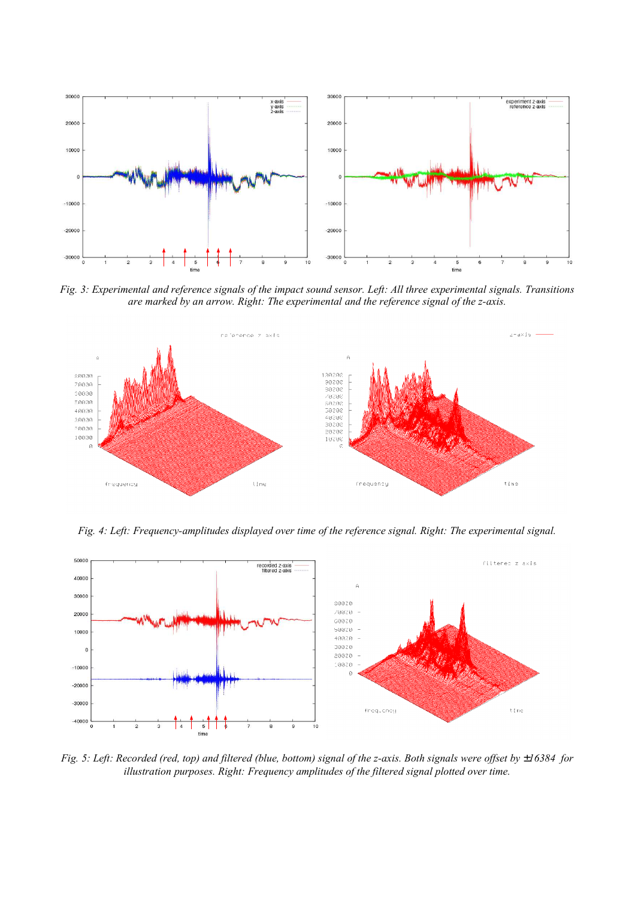

*Fig. 3: Experimental and reference signals of the impact sound sensor. Left: All three experimental signals. Transitions are marked by an arrow. Right: The experimental and the reference signal of the z-axis.*



*Fig. 4: Left: Frequency-amplitudes displayed over time of the reference signal. Right: The experimental signal.*



*Fig. 5: Left: Recorded (red, top) and filtered (blue, bottom) signal of the z-axis. Both signals were offset by* ±*16384 for illustration purposes. Right: Frequency amplitudes of the filtered signal plotted over time.*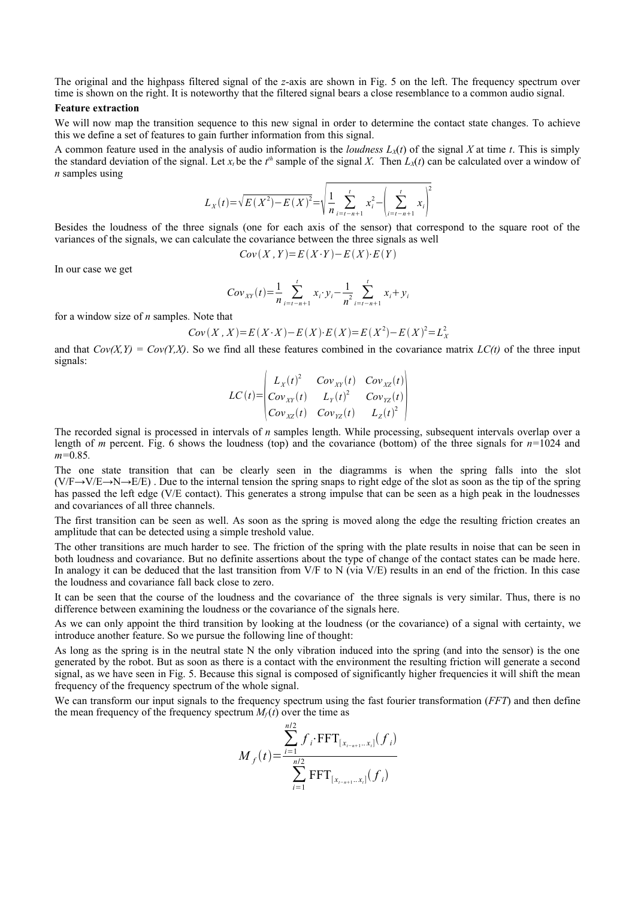The original and the highpass filtered signal of the *z*-axis are shown in Fig. 5 on the left. The frequency spectrum over time is shown on the right. It is noteworthy that the filtered signal bears a close resemblance to a common audio signal.

#### **Feature extraction**

We will now map the transition sequence to this new signal in order to determine the contact state changes. To achieve this we define a set of features to gain further information from this signal.

A common feature used in the analysis of audio information is the *loudness*  $L_X(t)$  of the signal X at time t. This is simply the standard deviation of the signal. Let  $x_t$  be the  $t^{th}$  sample of the signal X. Then  $L_X(t)$  can be calculated over a window of *n* samples using

$$
L_X(t) = \sqrt{E(X^2) - E(X)^2} = \sqrt{\frac{1}{n} \sum_{i=t-n+1}^{t} x_i^2 - \left(\sum_{i=t-n+1}^{t} x_i\right)^2}
$$

Besides the loudness of the three signals (one for each axis of the sensor) that correspond to the square root of the variances of the signals, we can calculate the covariance between the three signals as well

$$
Cov(X, Y) = E(X \cdot Y) - E(X) \cdot E(Y)
$$

In our case we get

$$
Cov_{XY}(t) = \frac{1}{n} \sum_{i=t-n+1}^{t} x_i \cdot y_i - \frac{1}{n^2} \sum_{i=t-n+1}^{t} x_i + y_i
$$

for a window size of *n* samples*.* Note that

$$
Cov(X, X) = E(X \cdot X) - E(X) \cdot E(X) = E(X^{2}) - E(X)^{2} = L_{X}^{2}
$$

and that  $Cov(X, Y) = Cov(Y, X)$ . So we find all these features combined in the covariance matrix  $LC(t)$  of the three input signals:

$$
LC(t) = \begin{vmatrix} L_X(t)^2 & Cov_{XY}(t) & Cov_{XZ}(t) \ Cov_{XZ}(t) & Cov_{XZ}(t) \ Cov_{XZ}(t) & Cov_{YZ}(t) \ Cov_{XZ}(t) & Cov_{YZ}(t) & L_Z(t)^2 \end{vmatrix}
$$

The recorded signal is processed in intervals of *n* samples length. While processing, subsequent intervals overlap over a length of *m* percent. Fig. 6 shows the loudness (top) and the covariance (bottom) of the three signals for  $n=1024$  and *m=*0.85*.*

The one state transition that can be clearly seen in the diagramms is when the spring falls into the slot  $(V/F\rightarrow V/E\rightarrow R\rightarrow E/E)$ . Due to the internal tension the spring snaps to right edge of the slot as soon as the tip of the spring has passed the left edge (V/E contact). This generates a strong impulse that can be seen as a high peak in the loudnesses and covariances of all three channels.

The first transition can be seen as well. As soon as the spring is moved along the edge the resulting friction creates an amplitude that can be detected using a simple treshold value.

The other transitions are much harder to see. The friction of the spring with the plate results in noise that can be seen in both loudness and covariance. But no definite assertions about the type of change of the contact states can be made here. In analogy it can be deduced that the last transition from V/F to N (via V/E) results in an end of the friction. In this case the loudness and covariance fall back close to zero.

It can be seen that the course of the loudness and the covariance of the three signals is very similar. Thus, there is no difference between examining the loudness or the covariance of the signals here.

As we can only appoint the third transition by looking at the loudness (or the covariance) of a signal with certainty, we introduce another feature. So we pursue the following line of thought:

As long as the spring is in the neutral state N the only vibration induced into the spring (and into the sensor) is the one generated by the robot. But as soon as there is a contact with the environment the resulting friction will generate a second signal, as we have seen in Fig. 5. Because this signal is composed of significantly higher frequencies it will shift the mean frequency of the frequency spectrum of the whole signal.

We can transform our input signals to the frequency spectrum using the fast fourier transformation (*FFT*) and then define the mean frequency of the frequency spectrum  $M_f(t)$  over the time as

$$
M_f(t) = \frac{\sum_{i=1}^{n/2} f_i \cdot \text{FFT}_{[x_{t-n+1} \dots x_i]}(f_i)}{\sum_{i=1}^{n/2} \text{FFT}_{[x_{t-n+1} \dots x_i]}(f_i)}
$$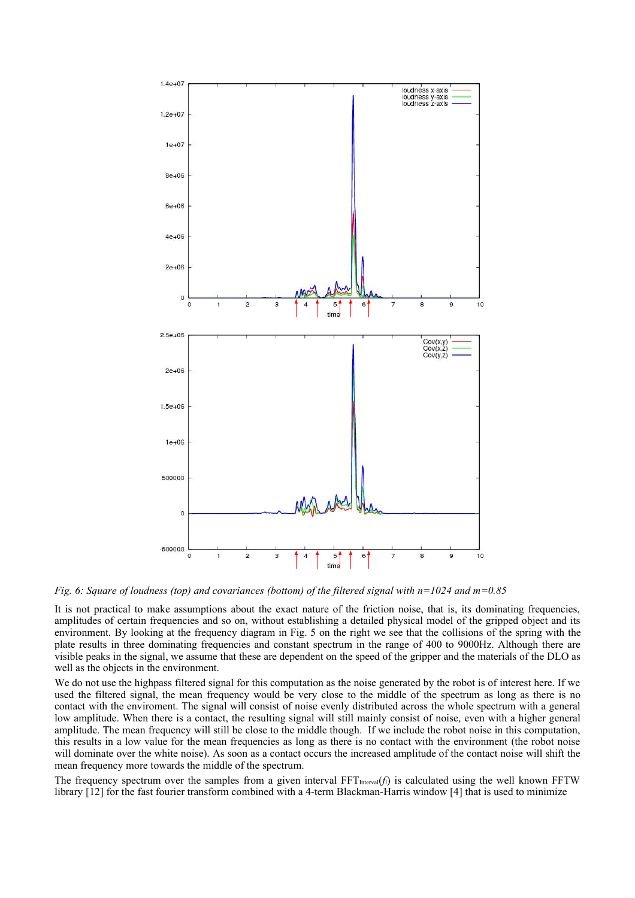

*Fig. 6: Square of loudness (top) and covariances (bottom) of the filtered signal with n=1024 and m=0.85*

It is not practical to make assumptions about the exact nature of the friction noise, that is, its dominating frequencies, amplitudes of certain frequencies and so on, without establishing a detailed physical model of the gripped object and its environment. By looking at the frequency diagram in Fig. 5 on the right we see that the collisions of the spring with the plate results in three dominating frequencies and constant spectrum in the range of 400 to 9000Hz. Although there are visible peaks in the signal, we assume that these are dependent on the speed of the gripper and the materials of the DLO as well as the objects in the environment.

We do not use the highpass filtered signal for this computation as the noise generated by the robot is of interest here. If we used the filtered signal, the mean frequency would be very close to the middle of the spectrum as long as there is no contact with the enviroment. The signal will consist of noise evenly distributed across the whole spectrum with a general low amplitude. When there is a contact, the resulting signal will still mainly consist of noise, even with a higher general amplitude. The mean frequency will still be close to the middle though. If we include the robot noise in this computation, this results in a low value for the mean frequencies as long as there is no contact with the environment (the robot noise will dominate over the white noise). As soon as a contact occurs the increased amplitude of the contact noise will shift the mean frequency more towards the middle of the spectrum.

The frequency spectrum over the samples from a given interval  $FFT_{interval}(f_i)$  is calculated using the well known FFTW library [12] for the fast fourier transform combined with a 4-term Blackman-Harris window [4] that is used to minimize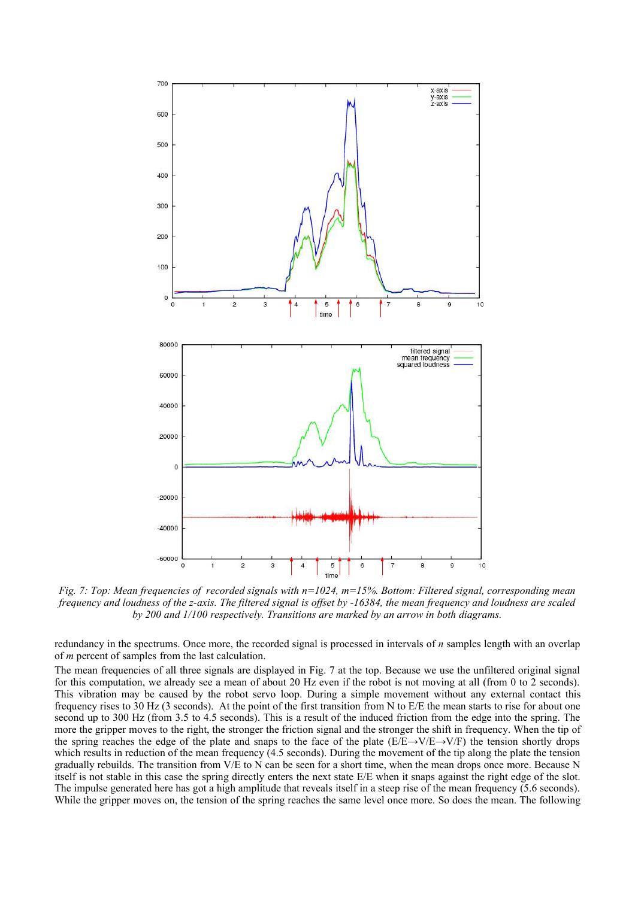

*Fig. 7: Top: Mean frequencies of recorded signals with n=1024, m=15%. Bottom: Filtered signal, corresponding mean frequency and loudness of the z-axis. The filtered signal is offset by -16384, the mean frequency and loudness are scaled by 200 and 1/100 respectively. Transitions are marked by an arrow in both diagrams.*

redundancy in the spectrums. Once more, the recorded signal is processed in intervals of *n* samples length with an overlap of *m* percent of samples from the last calculation.

The mean frequencies of all three signals are displayed in Fig. 7 at the top. Because we use the unfiltered original signal for this computation, we already see a mean of about 20 Hz even if the robot is not moving at all (from 0 to 2 seconds). This vibration may be caused by the robot servo loop. During a simple movement without any external contact this frequency rises to 30 Hz (3 seconds). At the point of the first transition from N to E/E the mean starts to rise for about one second up to 300 Hz (from 3.5 to 4.5 seconds). This is a result of the induced friction from the edge into the spring. The more the gripper moves to the right, the stronger the friction signal and the stronger the shift in frequency. When the tip of the spring reaches the edge of the plate and snaps to the face of the plate ( $E/E \rightarrow V/E \rightarrow V/F$ ) the tension shortly drops which results in reduction of the mean frequency (4.5 seconds). During the movement of the tip along the plate the tension gradually rebuilds. The transition from V/E to N can be seen for a short time, when the mean drops once more. Because N itself is not stable in this case the spring directly enters the next state E/E when it snaps against the right edge of the slot. The impulse generated here has got a high amplitude that reveals itself in a steep rise of the mean frequency (5.6 seconds). While the gripper moves on, the tension of the spring reaches the same level once more. So does the mean. The following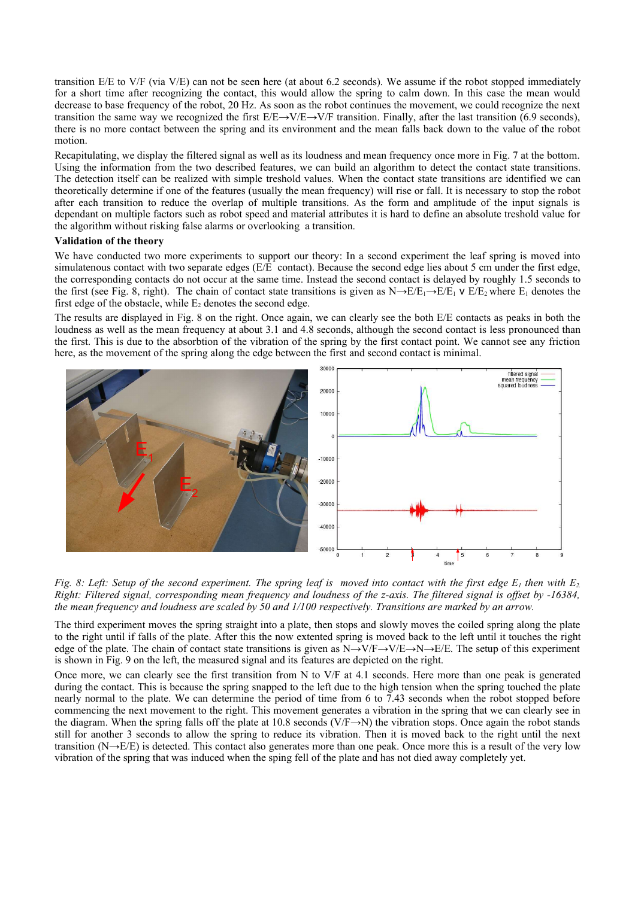transition E/E to V/F (via V/E) can not be seen here (at about 6.2 seconds). We assume if the robot stopped immediately for a short time after recognizing the contact, this would allow the spring to calm down. In this case the mean would decrease to base frequency of the robot, 20 Hz. As soon as the robot continues the movement, we could recognize the next transition the same way we recognized the first  $E/E\rightarrow V/E\rightarrow V/F$  transition. Finally, after the last transition (6.9 seconds), there is no more contact between the spring and its environment and the mean falls back down to the value of the robot motion.

Recapitulating, we display the filtered signal as well as its loudness and mean frequency once more in Fig. 7 at the bottom. Using the information from the two described features, we can build an algorithm to detect the contact state transitions. The detection itself can be realized with simple treshold values. When the contact state transitions are identified we can theoretically determine if one of the features (usually the mean frequency) will rise or fall. It is necessary to stop the robot after each transition to reduce the overlap of multiple transitions. As the form and amplitude of the input signals is dependant on multiple factors such as robot speed and material attributes it is hard to define an absolute treshold value for the algorithm without risking false alarms or overlooking a transition.

# **Validation of the theory**

We have conducted two more experiments to support our theory: In a second experiment the leaf spring is moved into simulatenous contact with two separate edges  $(E/\hat{E})$  contact). Because the second edge lies about 5 cm under the first edge, the corresponding contacts do not occur at the same time. Instead the second contact is delayed by roughly 1.5 seconds to the first (see Fig. 8, right). The chain of contact state transitions is given as  $N\rightarrow E/E_1\rightarrow E/E_1$  v  $E/E_2$  where  $E_1$  denotes the first edge of the obstacle, while  $E_2$  denotes the second edge.

The results are displayed in Fig. 8 on the right. Once again, we can clearly see the both E/E contacts as peaks in both the loudness as well as the mean frequency at about 3.1 and 4.8 seconds, although the second contact is less pronounced than the first. This is due to the absorbtion of the vibration of the spring by the first contact point. We cannot see any friction here, as the movement of the spring along the edge between the first and second contact is minimal.



Fig. 8: Left: Setup of the second experiment. The spring leaf is moved into contact with the first edge  $E_1$  then with  $E_2$ Right: Filtered signal, corresponding mean frequency and loudness of the z-axis. The filtered signal is offset by -16384, *the mean frequency and loudness are scaled by 50 and 1/100 respectively. Transitions are marked by an arrow.*

The third experiment moves the spring straight into a plate, then stops and slowly moves the coiled spring along the plate to the right until if falls of the plate. After this the now extented spring is moved back to the left until it touches the right edge of the plate. The chain of contact state transitions is given as  $N \rightarrow V/F \rightarrow V/E \rightarrow N \rightarrow E/E$ . The setup of this experiment is shown in Fig. 9 on the left, the measured signal and its features are depicted on the right.

Once more, we can clearly see the first transition from N to V/F at 4.1 seconds. Here more than one peak is generated during the contact. This is because the spring snapped to the left due to the high tension when the spring touched the plate nearly normal to the plate. We can determine the period of time from 6 to 7.43 seconds when the robot stopped before commencing the next movement to the right. This movement generates a vibration in the spring that we can clearly see in the diagram. When the spring falls off the plate at 10.8 seconds ( $V/F\rightarrow N$ ) the vibration stops. Once again the robot stands still for another 3 seconds to allow the spring to reduce its vibration. Then it is moved back to the right until the next transition (N→E/E) is detected. This contact also generates more than one peak. Once more this is a result of the very low vibration of the spring that was induced when the sping fell of the plate and has not died away completely yet.